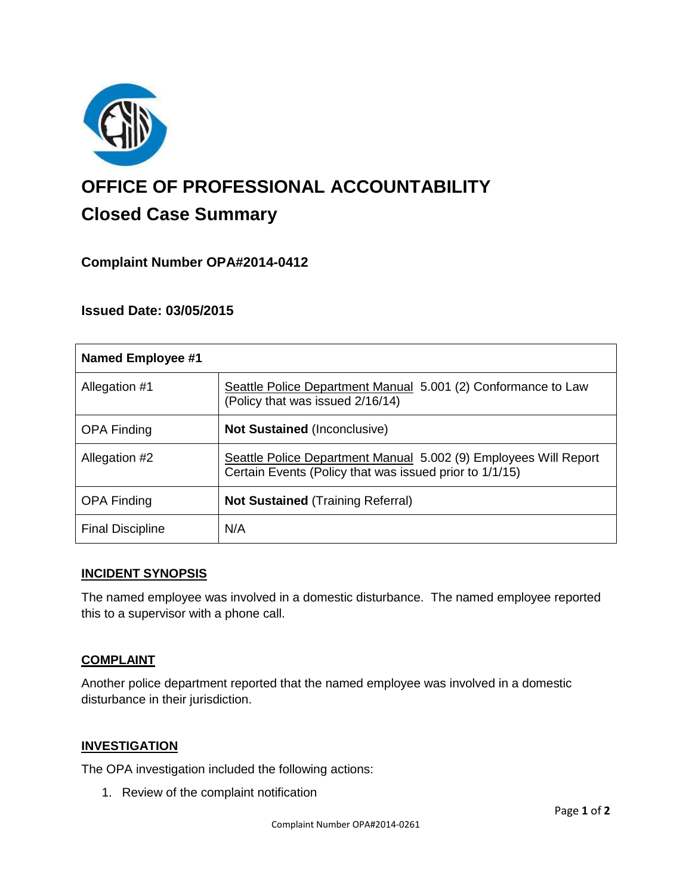

# **OFFICE OF PROFESSIONAL ACCOUNTABILITY Closed Case Summary**

# **Complaint Number OPA#2014-0412**

## **Issued Date: 03/05/2015**

| <b>Named Employee #1</b> |                                                                                                                             |
|--------------------------|-----------------------------------------------------------------------------------------------------------------------------|
| Allegation #1            | Seattle Police Department Manual 5.001 (2) Conformance to Law<br>(Policy that was issued 2/16/14)                           |
| <b>OPA Finding</b>       | <b>Not Sustained (Inconclusive)</b>                                                                                         |
| Allegation #2            | Seattle Police Department Manual 5.002 (9) Employees Will Report<br>Certain Events (Policy that was issued prior to 1/1/15) |
| <b>OPA Finding</b>       | <b>Not Sustained (Training Referral)</b>                                                                                    |
| <b>Final Discipline</b>  | N/A                                                                                                                         |

#### **INCIDENT SYNOPSIS**

The named employee was involved in a domestic disturbance. The named employee reported this to a supervisor with a phone call.

#### **COMPLAINT**

Another police department reported that the named employee was involved in a domestic disturbance in their jurisdiction.

## **INVESTIGATION**

The OPA investigation included the following actions:

1. Review of the complaint notification